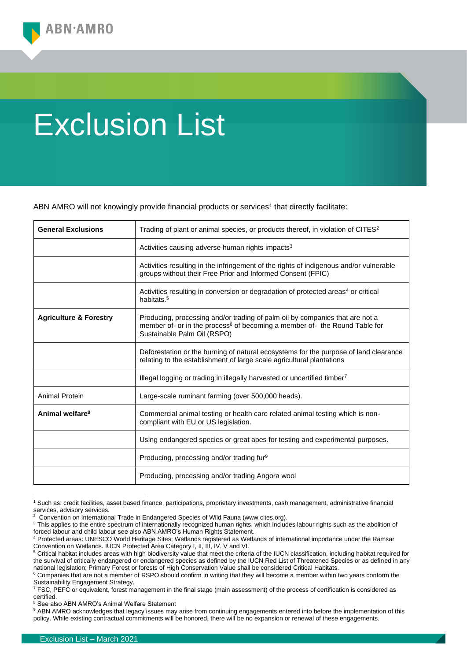## Exclusion List

ABN AMRO will not knowingly provide financial products or services<sup>1</sup> that directly facilitate:

| <b>General Exclusions</b>         | Trading of plant or animal species, or products thereof, in violation of $CITES2$                                                                                                                     |
|-----------------------------------|-------------------------------------------------------------------------------------------------------------------------------------------------------------------------------------------------------|
|                                   | Activities causing adverse human rights impacts <sup>3</sup>                                                                                                                                          |
|                                   | Activities resulting in the infringement of the rights of indigenous and/or vulnerable<br>groups without their Free Prior and Informed Consent (FPIC)                                                 |
|                                   | Activities resulting in conversion or degradation of protected areas <sup>4</sup> or critical<br>habitats. <sup>5</sup>                                                                               |
| <b>Agriculture &amp; Forestry</b> | Producing, processing and/or trading of palm oil by companies that are not a<br>member of- or in the process <sup>6</sup> of becoming a member of- the Round Table for<br>Sustainable Palm Oil (RSPO) |
|                                   | Deforestation or the burning of natural ecosystems for the purpose of land clearance<br>relating to the establishment of large scale agricultural plantations                                         |
|                                   | Illegal logging or trading in illegally harvested or uncertified timber <sup>7</sup>                                                                                                                  |
| Animal Protein                    | Large-scale ruminant farming (over 500,000 heads).                                                                                                                                                    |
| Animal welfare <sup>8</sup>       | Commercial animal testing or health care related animal testing which is non-<br>compliant with EU or US legislation.                                                                                 |
|                                   | Using endangered species or great apes for testing and experimental purposes.                                                                                                                         |
|                                   | Producing, processing and/or trading fur <sup>9</sup>                                                                                                                                                 |
|                                   | Producing, processing and/or trading Angora wool                                                                                                                                                      |

<sup>1</sup> Such as: credit facilities, asset based finance, participations, proprietary investments, cash management, administrative financial services, advisory services.

<sup>8</sup> See also ABN AMRO's Animal Welfare Statement

<sup>&</sup>lt;sup>2</sup> Convention on International Trade in Endangered Species of Wild Fauna (www.cites.org).

<sup>&</sup>lt;sup>3</sup> This applies to the entire spectrum of internationally recognized human rights, which includes labour rights such as the abolition of forced labour and child labour see also ABN AMRO's Human Rights Statement.

<sup>4</sup> Protected areas: UNESCO World Heritage Sites; Wetlands registered as Wetlands of international importance under the Ramsar Convention on Wetlands. IUCN Protected Area Category I, II, III, IV. V and VI.

<sup>&</sup>lt;sup>5</sup> Critical habitat includes areas with high biodiversity value that meet the criteria of the IUCN classification, including habitat required for the survival of critically endangered or endangered species as defined by the IUCN Red List of Threatened Species or as defined in any national legislation; Primary Forest or forests of High Conservation Value shall be considered Critical Habitats.

<sup>&</sup>lt;sup>6</sup> Companies that are not a member of RSPO should confirm in writing that they will become a member within two years conform the Sustainability Engagement Strategy.

<sup>7</sup> FSC, PEFC or equivalent, forest management in the final stage (main assessment) of the process of certification is considered as certified.

<sup>&</sup>lt;sup>9</sup> ABN AMRO acknowledges that legacy issues may arise from continuing engagements entered into before the implementation of this policy. While existing contractual commitments will be honored, there will be no expansion or renewal of these engagements.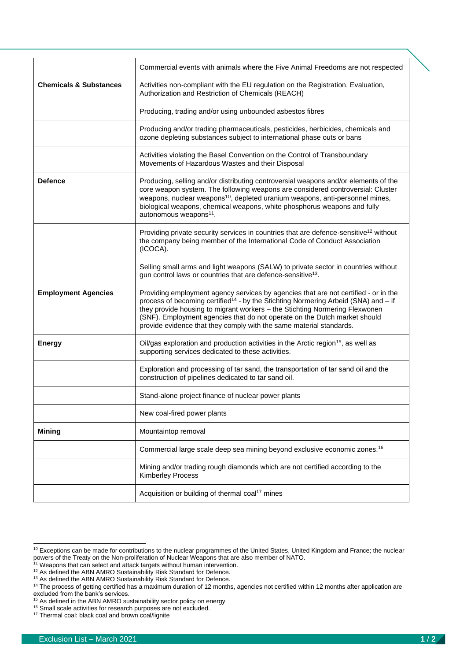|                                   | Commercial events with animals where the Five Animal Freedoms are not respected                                                                                                                                                                                                                                                                                                                                          |
|-----------------------------------|--------------------------------------------------------------------------------------------------------------------------------------------------------------------------------------------------------------------------------------------------------------------------------------------------------------------------------------------------------------------------------------------------------------------------|
| <b>Chemicals &amp; Substances</b> | Activities non-compliant with the EU regulation on the Registration, Evaluation,<br>Authorization and Restriction of Chemicals (REACH)                                                                                                                                                                                                                                                                                   |
|                                   | Producing, trading and/or using unbounded asbestos fibres                                                                                                                                                                                                                                                                                                                                                                |
|                                   | Producing and/or trading pharmaceuticals, pesticides, herbicides, chemicals and<br>ozone depleting substances subject to international phase outs or bans                                                                                                                                                                                                                                                                |
|                                   | Activities violating the Basel Convention on the Control of Transboundary<br>Movements of Hazardous Wastes and their Disposal                                                                                                                                                                                                                                                                                            |
| <b>Defence</b>                    | Producing, selling and/or distributing controversial weapons and/or elements of the<br>core weapon system. The following weapons are considered controversial: Cluster<br>weapons, nuclear weapons <sup>10</sup> , depleted uranium weapons, anti-personnel mines,<br>biological weapons, chemical weapons, white phosphorus weapons and fully<br>autonomous weapons <sup>11</sup> .                                     |
|                                   | Providing private security services in countries that are defence-sensitive <sup>12</sup> without<br>the company being member of the International Code of Conduct Association<br>(ICOCA).                                                                                                                                                                                                                               |
|                                   | Selling small arms and light weapons (SALW) to private sector in countries without<br>gun control laws or countries that are defence-sensitive <sup>13</sup> .                                                                                                                                                                                                                                                           |
| <b>Employment Agencies</b>        | Providing employment agency services by agencies that are not certified - or in the<br>process of becoming certified <sup>14</sup> - by the Stichting Normering Arbeid (SNA) and - if<br>they provide housing to migrant workers - the Stichting Normering Flexwonen<br>(SNF). Employment agencies that do not operate on the Dutch market should<br>provide evidence that they comply with the same material standards. |
| <b>Energy</b>                     | Oil/gas exploration and production activities in the Arctic region <sup>15</sup> , as well as<br>supporting services dedicated to these activities.                                                                                                                                                                                                                                                                      |
|                                   | Exploration and processing of tar sand, the transportation of tar sand oil and the<br>construction of pipelines dedicated to tar sand oil.                                                                                                                                                                                                                                                                               |
|                                   | Stand-alone project finance of nuclear power plants                                                                                                                                                                                                                                                                                                                                                                      |
|                                   | New coal-fired power plants                                                                                                                                                                                                                                                                                                                                                                                              |
| <b>Mining</b>                     | Mountaintop removal                                                                                                                                                                                                                                                                                                                                                                                                      |
|                                   | Commercial large scale deep sea mining beyond exclusive economic zones. <sup>16</sup>                                                                                                                                                                                                                                                                                                                                    |
|                                   | Mining and/or trading rough diamonds which are not certified according to the<br><b>Kimberley Process</b>                                                                                                                                                                                                                                                                                                                |
|                                   | Acquisition or building of thermal coal <sup>17</sup> mines                                                                                                                                                                                                                                                                                                                                                              |

<sup>&</sup>lt;sup>10</sup> Exceptions can be made for contributions to the nuclear programmes of the United States, United Kingdom and France; the nuclear powers of the Treaty on the Non-proliferation of Nuclear Weapons that are also member of NATO.

<sup>&</sup>lt;sup>11</sup> Weapons that can select and attack targets without human intervention.

 $12$  As defined the ABN AMRO Sustainability Risk Standard for Defence.

<sup>&</sup>lt;sup>13</sup> As defined the ABN AMRO Sustainability Risk Standard for Defence.

<sup>&</sup>lt;sup>14</sup> The process of getting certified has a maximum duration of 12 months, agencies not certified within 12 months after application are excluded from the bank's services.

<sup>&</sup>lt;sup>15</sup> As defined in the ABN AMRO sustainability sector policy on energy

<sup>&</sup>lt;sup>16</sup> Small scale activities for research purposes are not excluded.

<sup>&</sup>lt;sup>17</sup> Thermal coal: black coal and brown coal/lignite